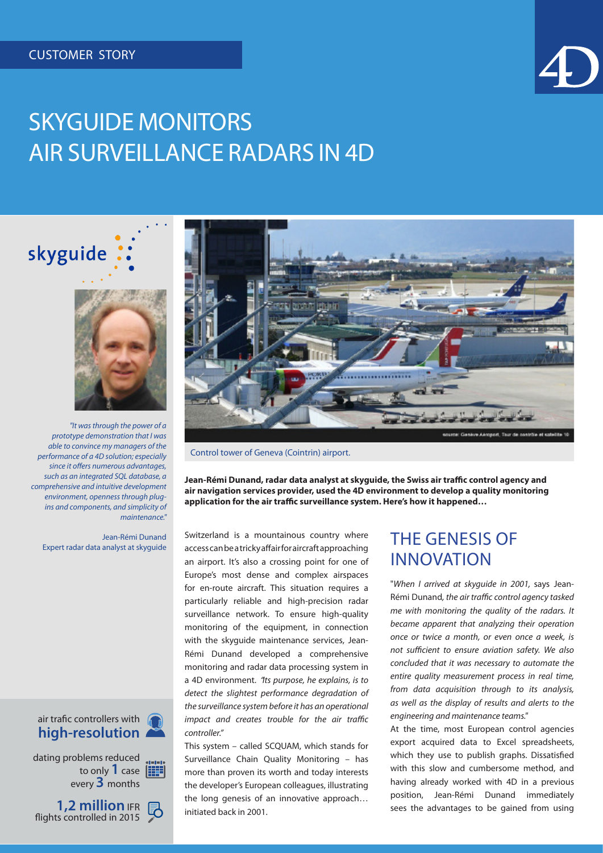skyguide



# SKYGUIDE MONITORS AIR SURVEILLANCE RADARS IN 4D



Control tower of Geneva (Cointrin) airport.

**Jean-Rémi Dunand, radar data analyst at skyguide, the Swiss air traffic control agency and air navigation services provider, used the 4D environment to develop a quality monitoring application for the air traffic surveillance system. Here's how it happened…**

Switzerland is a mountainous country where access can be a tricky affair for aircraft approaching an airport. It's also a crossing point for one of Europe's most dense and complex airspaces for en-route aircraft. This situation requires a particularly reliable and high-precision radar surveillance network. To ensure high-quality monitoring of the equipment, in connection with the skyguide maintenance services, Jean-Rémi Dunand developed a comprehensive monitoring and radar data processing system in a 4D environment. "*Its purpose, he explains, is to detect the slightest performance degradation of the surveillance system before it has an operational impact and creates trouble for the air traffic controller."*

This system – called SCQUAM, which stands for Surveillance Chain Quality Monitoring – has more than proven its worth and today interests the developer's European colleagues, illustrating the long genesis of an innovative approach… initiated back in 2001.

#### THE GENESIS OF INNOVATION

"*When I arrived at skyguide in 2001,* says Jean-Rémi Dunand*, the air traffic control agency tasked me with monitoring the quality of the radars. It became apparent that analyzing their operation once or twice a month, or even once a week, is not sufficient to ensure aviation safety. We also concluded that it was necessary to automate the entire quality measurement process in real time, from data acquisition through to its analysis, as well as the display of results and alerts to the engineering and maintenance teams."*

At the time, most European control agencies export acquired data to Excel spreadsheets, which they use to publish graphs. Dissatisfied with this slow and cumbersome method, and having already worked with 4D in a previous position, Jean-Rémi Dunand immediately sees the advantages to be gained from using



*prototype demonstration that I was able to convince my managers of the performance of a 4D solution; especially since it offers numerous advantages, such as an integrated SQL database, a comprehensive and intuitive development environment, openness through plugins and components, and simplicity of maintenance."*

Jean-Rémi Dunand Expert radar data analyst at skyguide

#### air trafic controllers with **high-resolution**

dating problems reduced to only **1** case every **3** months

**1,2 million** IFR flights controlled in 2015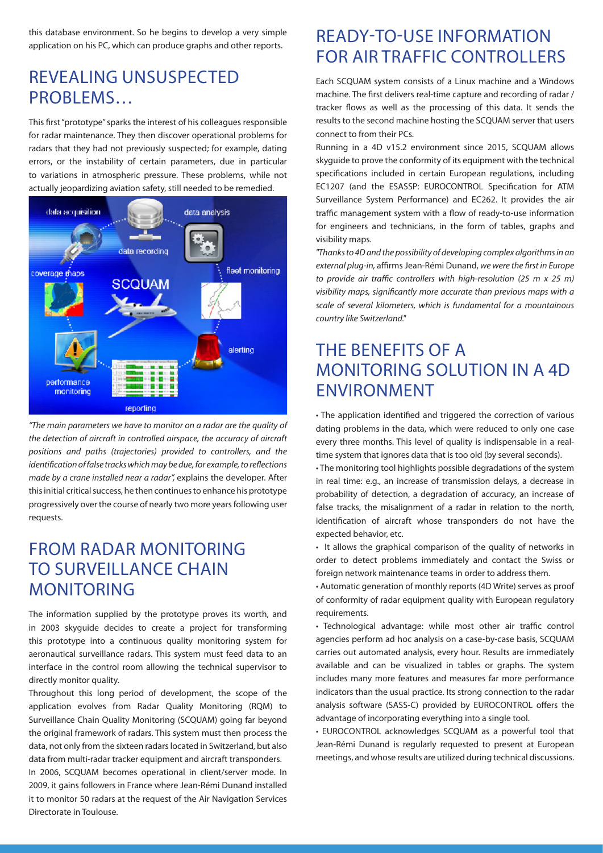this database environment. So he begins to develop a very simple application on his PC, which can produce graphs and other reports.

#### REVEALING UNSUSPECTED PROBLEMS…

This first "prototype" sparks the interest of his colleagues responsible for radar maintenance. They then discover operational problems for radars that they had not previously suspected; for example, dating errors, or the instability of certain parameters, due in particular to variations in atmospheric pressure. These problems, while not actually jeopardizing aviation safety, still needed to be remedied.



*"The main parameters we have to monitor on a radar are the quality of the detection of aircraft in controlled airspace, the accuracy of aircraft positions and paths (trajectories) provided to controllers, and the identification of false tracks which may be due, for example, to reflections made by a crane installed near a radar",* explains the developer. After this initial critical success, he then continues to enhance his prototype progressively over the course of nearly two more years following user requests.

#### FROM RADAR MONITORING TO SURVEILLANCE CHAIN **MONITORING**

The information supplied by the prototype proves its worth, and in 2003 skyguide decides to create a project for transforming this prototype into a continuous quality monitoring system for aeronautical surveillance radars. This system must feed data to an interface in the control room allowing the technical supervisor to directly monitor quality.

Throughout this long period of development, the scope of the application evolves from Radar Quality Monitoring (RQM) to Surveillance Chain Quality Monitoring (SCQUAM) going far beyond the original framework of radars. This system must then process the data, not only from the sixteen radars located in Switzerland, but also data from multi-radar tracker equipment and aircraft transponders.

In 2006, SCQUAM becomes operational in client/server mode. In 2009, it gains followers in France where Jean-Rémi Dunand installed it to monitor 50 radars at the request of the Air Navigation Services Directorate in Toulouse.

#### READY-TO-USE INFORMATION FOR AIR TRAFFIC CONTROLLERS

Each SCQUAM system consists of a Linux machine and a Windows machine. The first delivers real-time capture and recording of radar / tracker flows as well as the processing of this data. It sends the results to the second machine hosting the SCQUAM server that users connect to from their PCs.

Running in a 4D v15.2 environment since 2015, SCQUAM allows skyguide to prove the conformity of its equipment with the technical specifications included in certain European regulations, including EC1207 (and the ESASSP: EUROCONTROL Specification for ATM Surveillance System Performance) and EC262. It provides the air traffic management system with a flow of ready-to-use information for engineers and technicians, in the form of tables, graphs and visibility maps.

*"Thanks to 4D and the possibility of developing complex algorithms in an external plug-in,* affirms Jean-Rémi Dunand, *we were the first in Europe to provide air traffic controllers with high-resolution (25 m x 25 m) visibility maps, significantly more accurate than previous maps with a scale of several kilometers, which is fundamental for a mountainous country like Switzerland."*

### THE BENEFITS OF A MONITORING SOLUTION IN A 4D ENVIRONMENT

• The application identified and triggered the correction of various dating problems in the data, which were reduced to only one case every three months. This level of quality is indispensable in a realtime system that ignores data that is too old (by several seconds).

• The monitoring tool highlights possible degradations of the system in real time: e.g., an increase of transmission delays, a decrease in probability of detection, a degradation of accuracy, an increase of false tracks, the misalignment of a radar in relation to the north, identification of aircraft whose transponders do not have the expected behavior, etc.

• It allows the graphical comparison of the quality of networks in order to detect problems immediately and contact the Swiss or foreign network maintenance teams in order to address them.

• Automatic generation of monthly reports (4D Write) serves as proof of conformity of radar equipment quality with European regulatory requirements.

• Technological advantage: while most other air traffic control agencies perform ad hoc analysis on a case-by-case basis, SCQUAM carries out automated analysis, every hour. Results are immediately available and can be visualized in tables or graphs. The system includes many more features and measures far more performance indicators than the usual practice. Its strong connection to the radar analysis software (SASS-C) provided by EUROCONTROL offers the advantage of incorporating everything into a single tool.

• EUROCONTROL acknowledges SCQUAM as a powerful tool that Jean-Rémi Dunand is regularly requested to present at European meetings, and whose results are utilized during technical discussions.